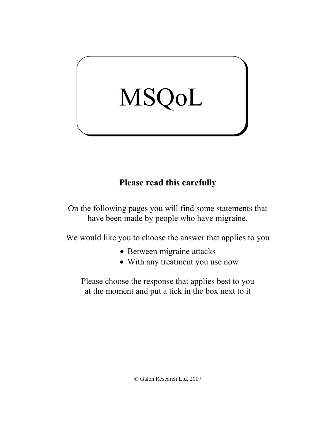# MSQoL

# **Please read this carefully**

On the following pages you will find some statements that have been made by people who have migraine.

We would like you to choose the answer that applies to you

- Between migraine attacks
- With any treatment you use now

Please choose the response that applies best to you at the moment and put a tick in the box next to it